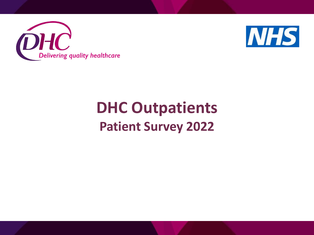



# **DHC Outpatients Patient Survey 2022**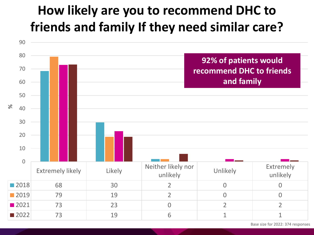# **How likely are you to recommend DHC to friends and family How likely are you to recommend DHC to If they need similar care? friends and family If they need similar care?**



Base size for 2022: 374 responses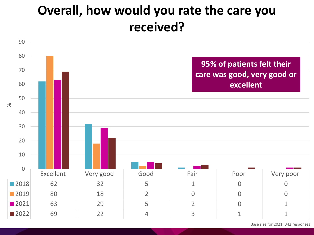# **Overall, how would you rate the care you received?**

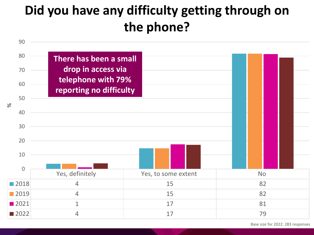# **Did you have any difficulty getting through on the phone?**

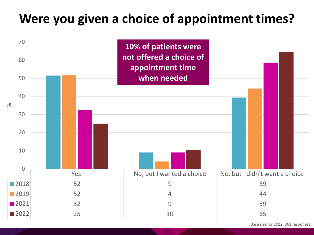#### **Were you given a choice of appointment times?**



Base size for 2022: 361 responses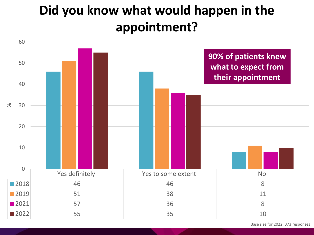# **Did you know what would happen in the appointment?**

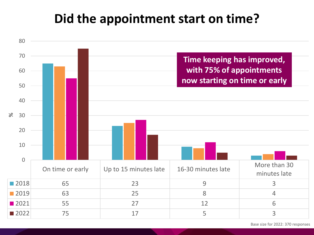#### **Did the appointment start on time?**



Base size for 2022: 370 responses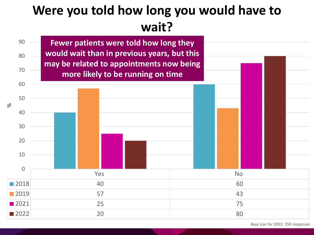### **Were you told how long you would have to wait?**

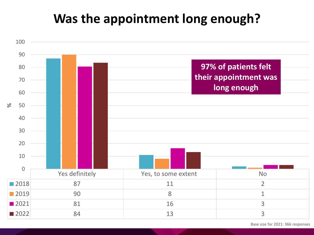#### **Was the appointment long enough?**



Base size for 2021: 366 responses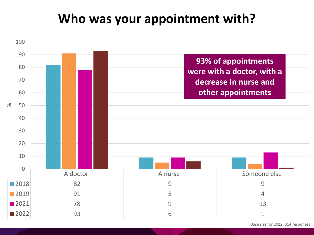#### **Who was your appointment with?**



Base size for 2022: 314 responses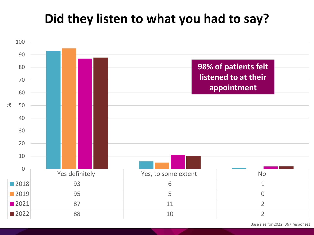#### **Did they listen to what you had to say?**



Base size for 2022: 367 responses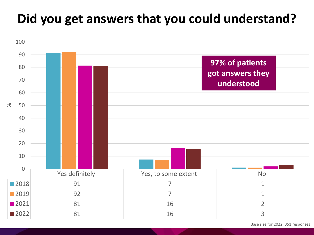# **Did you get answers that you could understand?**



Base size for 2022: 351 responses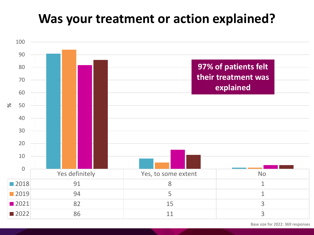#### **Was your treatment or action explained?**



Base size for 2022: 369 responses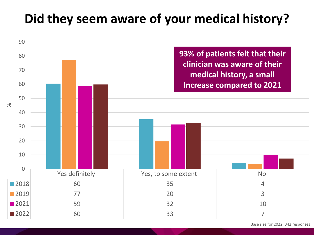# **Did they seem aware of your medical history?**

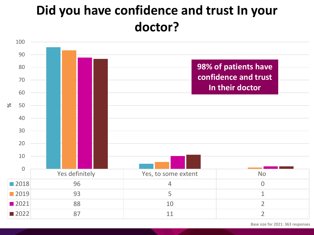# **Did you have confidence and trust In your doctor?**

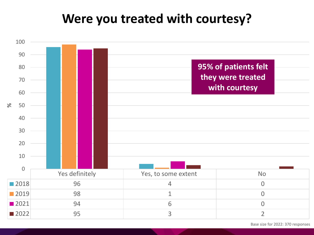#### **Were you treated with courtesy?**

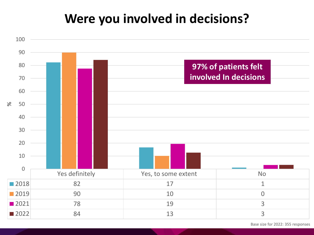#### **Were you involved in decisions?**

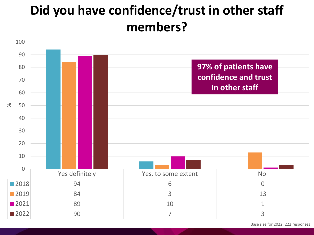# **Did you have confidence/trust in other staff members?**

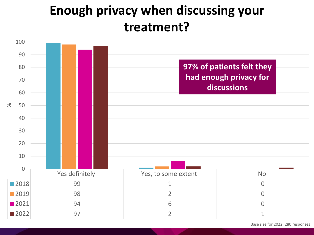## **Enough privacy when discussing your treatment?**

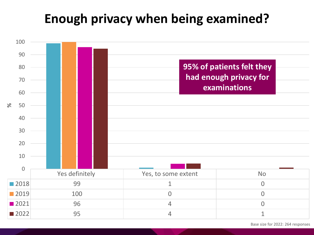### **Enough privacy when being examined?**



Base size for 2022: 264 responses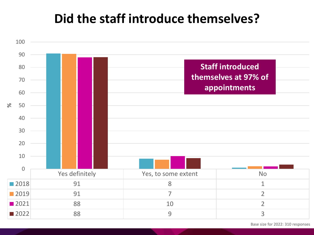#### **Did the staff introduce themselves?**



Base size for 2022: 310 responses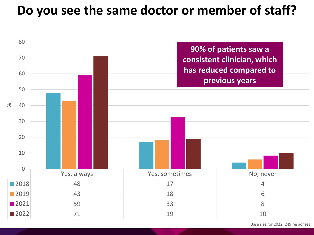#### **Do you see the same doctor or member of staff?**



Base size for 2022: 249 responses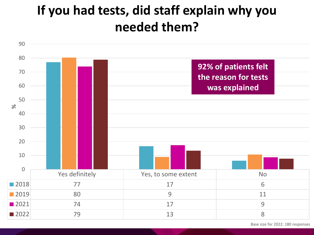# **If you had tests, did staff explain why you needed them?**



Base size for 2022: 180 responses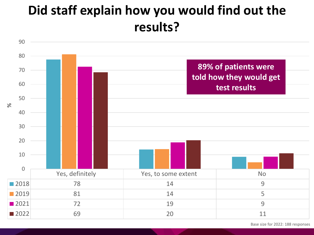# **Did staff explain how you would find out the results?**

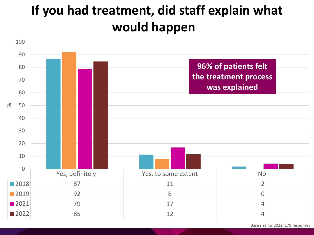# **If you had treatment, did staff explain what would happen?**

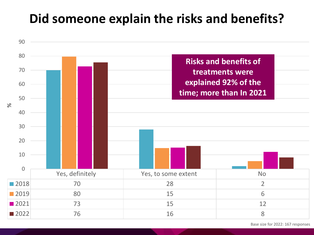#### **Did someone explain the risks and benefits?**



Base size for 2022: 167 responses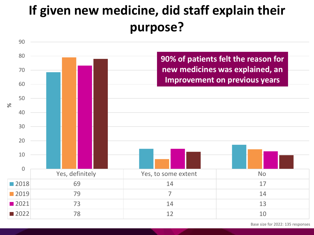# **If given new medicine, did staff explain their purpose?**



Base size for 2022: 135 responses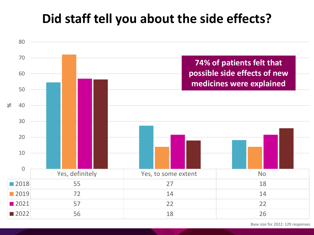#### **Did staff tell you about the side effects?**



Base size for 2022: 129 responses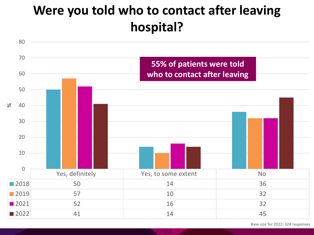### **Were you told who to contact after leaving hospital?**

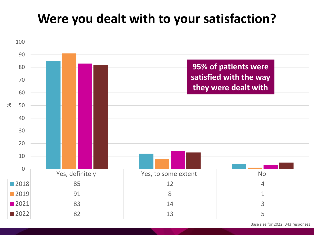#### **Were you dealt with to your satisfaction?**

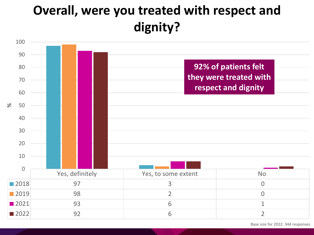# **Overall, were you treated with respect and dignity?**

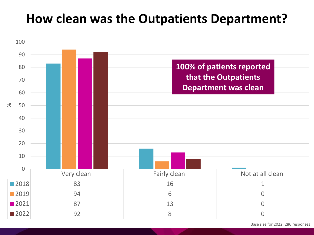#### **How clean was the Outpatients Department?**



Base size for 2022: 286 responses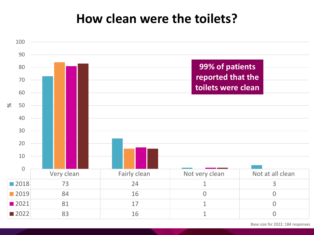#### **How clean were the toilets?**



Base size for 2022: 184 responses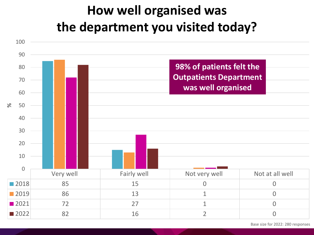# **How well organised was the department you visited today?**



Base size for 2022: 280 responses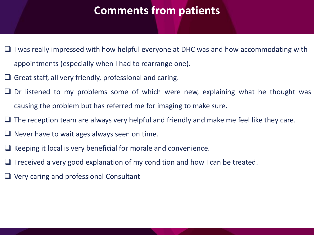#### **Comments from patients**

- ❑ I was really impressed with how helpful everyone at DHC was and how accommodating with appointments (especially when I had to rearrange one).
- $\Box$  Great staff, all very friendly, professional and caring.
- ❑ Dr listened to my problems some of which were new, explaining what he thought was causing the problem but has referred me for imaging to make sure.
- $\Box$  The reception team are always very helpful and friendly and make me feel like they care.
- $\Box$  Never have to wait ages always seen on time.
- ❑ Keeping it local is very beneficial for morale and convenience.
- ❑ I received a very good explanation of my condition and how I can be treated.
- ❑ Very caring and professional Consultant